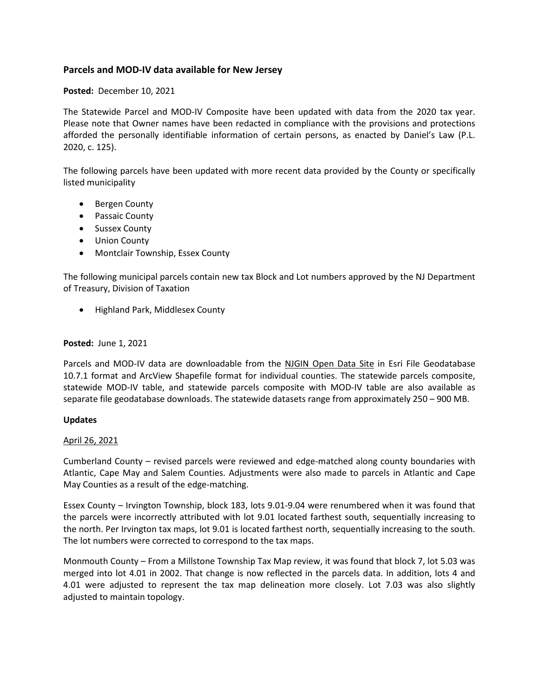# **Parcels and MOD-IV data available for New Jersey**

**Posted:** December 10, 2021

The Statewide Parcel and MOD-IV Composite have been updated with data from the 2020 tax year. Please note that Owner names have been redacted in compliance with the provisions and protections afforded the personally identifiable information of certain persons, as enacted by Daniel's Law (P.L. 2020, c. 125).

The following parcels have been updated with more recent data provided by the County or specifically listed municipality

- Bergen County
- Passaic County
- Sussex County
- Union County
- Montclair Township, Essex County

The following municipal parcels contain new tax Block and Lot numbers approved by the NJ Department of Treasury, Division of Taxation

• Highland Park, Middlesex County

## **Posted:** June 1, 2021

Parcels and MOD-IV data are downloadable from the [NJGIN Open Data](http://njogis-newjersey.opendata.arcgis.com/) Site in Esri File Geodatabase 10.7.1 format and ArcView Shapefile format for individual counties. The statewide parcels composite, statewide MOD-IV table, and statewide parcels composite with MOD-IV table are also available as separate file geodatabase downloads. The statewide datasets range from approximately 250 – 900 MB.

### **Updates**

## April 26, 2021

Cumberland County – revised parcels were reviewed and edge-matched along county boundaries with Atlantic, Cape May and Salem Counties. Adjustments were also made to parcels in Atlantic and Cape May Counties as a result of the edge-matching.

Essex County – Irvington Township, block 183, lots 9.01-9.04 were renumbered when it was found that the parcels were incorrectly attributed with lot 9.01 located farthest south, sequentially increasing to the north. Per Irvington tax maps, lot 9.01 is located farthest north, sequentially increasing to the south. The lot numbers were corrected to correspond to the tax maps.

Monmouth County – From a Millstone Township Tax Map review, it was found that block 7, lot 5.03 was merged into lot 4.01 in 2002. That change is now reflected in the parcels data. In addition, lots 4 and 4.01 were adjusted to represent the tax map delineation more closely. Lot 7.03 was also slightly adjusted to maintain topology.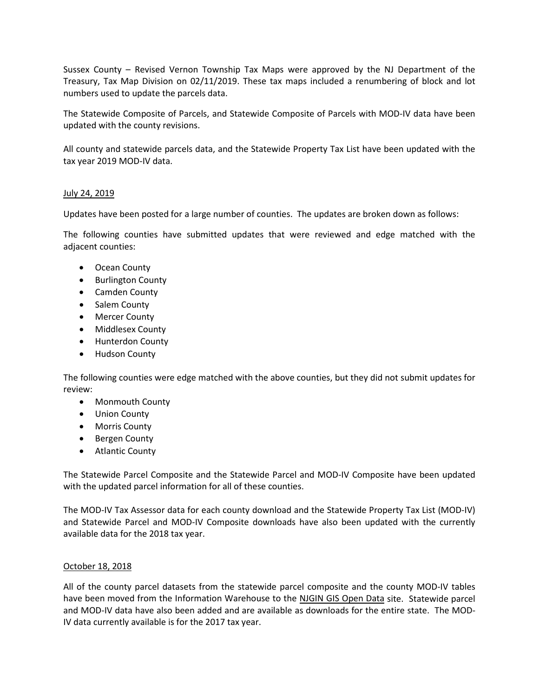Sussex County – Revised Vernon Township Tax Maps were approved by the NJ Department of the Treasury, Tax Map Division on 02/11/2019. These tax maps included a renumbering of block and lot numbers used to update the parcels data.

The Statewide Composite of Parcels, and Statewide Composite of Parcels with MOD-IV data have been updated with the county revisions.

All county and statewide parcels data, and the Statewide Property Tax List have been updated with the tax year 2019 MOD-IV data.

## July 24, 2019

Updates have been posted for a large number of counties. The updates are broken down as follows:

The following counties have submitted updates that were reviewed and edge matched with the adjacent counties:

- Ocean County
- Burlington County
- Camden County
- Salem County
- Mercer County
- Middlesex County
- Hunterdon County
- Hudson County

The following counties were edge matched with the above counties, but they did not submit updates for review:

- Monmouth County
- Union County
- Morris County
- Bergen County
- Atlantic County

The Statewide Parcel Composite and the Statewide Parcel and MOD-IV Composite have been updated with the updated parcel information for all of these counties.

The MOD-IV Tax Assessor data for each county download and the Statewide Property Tax List (MOD-IV) and Statewide Parcel and MOD-IV Composite downloads have also been updated with the currently available data for the 2018 tax year.

### October 18, 2018

All of the county parcel datasets from the statewide parcel composite and the county MOD-IV tables have been moved from the Information Warehouse to the [NJGIN GIS Open Data](http://njogis-newjersey.opendata.arcgis.com/) site. Statewide parcel and MOD-IV data have also been added and are available as downloads for the entire state. The MOD-IV data currently available is for the 2017 tax year.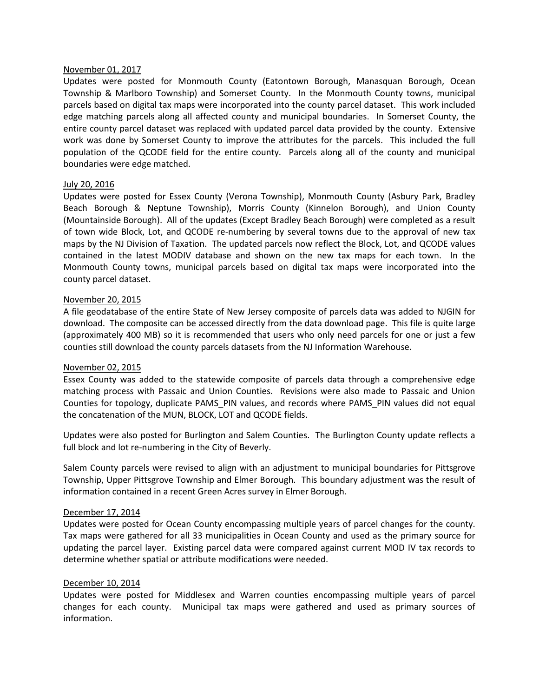### November 01, 2017

Updates were posted for Monmouth County (Eatontown Borough, Manasquan Borough, Ocean Township & Marlboro Township) and Somerset County. In the Monmouth County towns, municipal parcels based on digital tax maps were incorporated into the county parcel dataset. This work included edge matching parcels along all affected county and municipal boundaries. In Somerset County, the entire county parcel dataset was replaced with updated parcel data provided by the county. Extensive work was done by Somerset County to improve the attributes for the parcels. This included the full population of the QCODE field for the entire county. Parcels along all of the county and municipal boundaries were edge matched.

### July 20, 2016

Updates were posted for Essex County (Verona Township), Monmouth County (Asbury Park, Bradley Beach Borough & Neptune Township), Morris County (Kinnelon Borough), and Union County (Mountainside Borough). All of the updates (Except Bradley Beach Borough) were completed as a result of town wide Block, Lot, and QCODE re-numbering by several towns due to the approval of new tax maps by the NJ Division of Taxation. The updated parcels now reflect the Block, Lot, and QCODE values contained in the latest MODIV database and shown on the new tax maps for each town. In the Monmouth County towns, municipal parcels based on digital tax maps were incorporated into the county parcel dataset.

### November 20, 2015

A file geodatabase of the entire State of New Jersey composite of parcels data was added to NJGIN for download. The composite can be accessed directly from the data download page. This file is quite large (approximately 400 MB) so it is recommended that users who only need parcels for one or just a few counties still download the county parcels datasets from the NJ Information Warehouse.

### November 02, 2015

Essex County was added to the statewide composite of parcels data through a comprehensive edge matching process with Passaic and Union Counties. Revisions were also made to Passaic and Union Counties for topology, duplicate PAMS\_PIN values, and records where PAMS\_PIN values did not equal the concatenation of the MUN, BLOCK, LOT and QCODE fields.

Updates were also posted for Burlington and Salem Counties. The Burlington County update reflects a full block and lot re-numbering in the City of Beverly.

Salem County parcels were revised to align with an adjustment to municipal boundaries for Pittsgrove Township, Upper Pittsgrove Township and Elmer Borough. This boundary adjustment was the result of information contained in a recent Green Acres survey in Elmer Borough.

### December 17, 2014

Updates were posted for Ocean County encompassing multiple years of parcel changes for the county. Tax maps were gathered for all 33 municipalities in Ocean County and used as the primary source for updating the parcel layer. Existing parcel data were compared against current MOD IV tax records to determine whether spatial or attribute modifications were needed.

### December 10, 2014

Updates were posted for Middlesex and Warren counties encompassing multiple years of parcel changes for each county. Municipal tax maps were gathered and used as primary sources of information.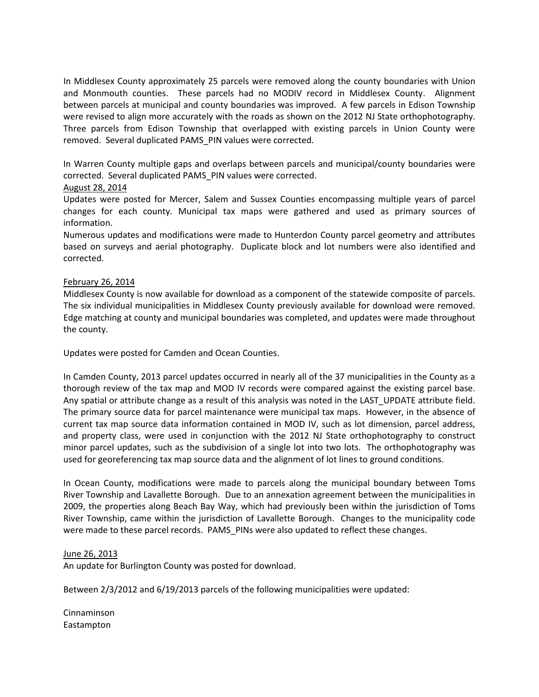In Middlesex County approximately 25 parcels were removed along the county boundaries with Union and Monmouth counties. These parcels had no MODIV record in Middlesex County. Alignment between parcels at municipal and county boundaries was improved. A few parcels in Edison Township were revised to align more accurately with the roads as shown on the 2012 NJ State orthophotography. Three parcels from Edison Township that overlapped with existing parcels in Union County were removed. Several duplicated PAMS\_PIN values were corrected.

In Warren County multiple gaps and overlaps between parcels and municipal/county boundaries were corrected. Several duplicated PAMS\_PIN values were corrected.

# August 28, 2014

Updates were posted for Mercer, Salem and Sussex Counties encompassing multiple years of parcel changes for each county. Municipal tax maps were gathered and used as primary sources of information.

Numerous updates and modifications were made to Hunterdon County parcel geometry and attributes based on surveys and aerial photography. Duplicate block and lot numbers were also identified and corrected.

# February 26, 2014

Middlesex County is now available for download as a component of the statewide composite of parcels. The six individual municipalities in Middlesex County previously available for download were removed. Edge matching at county and municipal boundaries was completed, and updates were made throughout the county.

Updates were posted for Camden and Ocean Counties.

In Camden County, 2013 parcel updates occurred in nearly all of the 37 municipalities in the County as a thorough review of the tax map and MOD IV records were compared against the existing parcel base. Any spatial or attribute change as a result of this analysis was noted in the LAST\_UPDATE attribute field. The primary source data for parcel maintenance were municipal tax maps. However, in the absence of current tax map source data information contained in MOD IV, such as lot dimension, parcel address, and property class, were used in conjunction with the 2012 NJ State orthophotography to construct minor parcel updates, such as the subdivision of a single lot into two lots. The orthophotography was used for georeferencing tax map source data and the alignment of lot lines to ground conditions.

In Ocean County, modifications were made to parcels along the municipal boundary between Toms River Township and Lavallette Borough. Due to an annexation agreement between the municipalities in 2009, the properties along Beach Bay Way, which had previously been within the jurisdiction of Toms River Township, came within the jurisdiction of Lavallette Borough. Changes to the municipality code were made to these parcel records. PAMS\_PINs were also updated to reflect these changes.

## June 26, 2013

An update for Burlington County was posted for download.

Between 2/3/2012 and 6/19/2013 parcels of the following municipalities were updated:

Cinnaminson Eastampton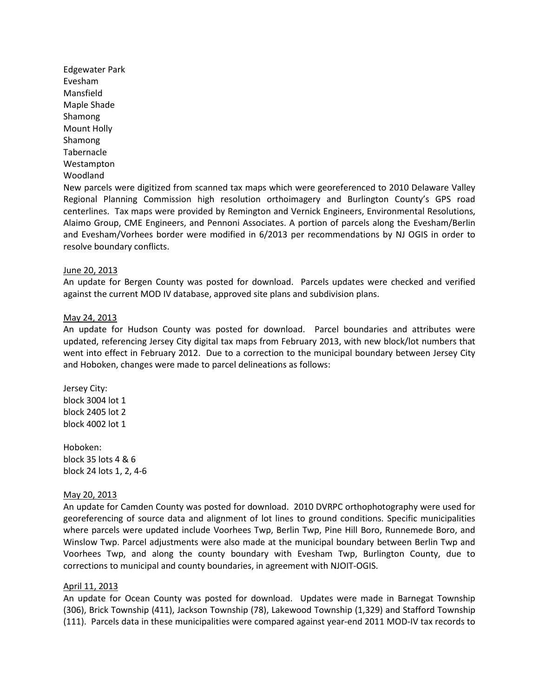Edgewater Park Evesham Mansfield Maple Shade Shamong Mount Holly Shamong Tabernacle Westampton Woodland

New parcels were digitized from scanned tax maps which were georeferenced to 2010 Delaware Valley Regional Planning Commission high resolution orthoimagery and Burlington County's GPS road centerlines. Tax maps were provided by Remington and Vernick Engineers, Environmental Resolutions, Alaimo Group, CME Engineers, and Pennoni Associates. A portion of parcels along the Evesham/Berlin and Evesham/Vorhees border were modified in 6/2013 per recommendations by NJ OGIS in order to resolve boundary conflicts.

### June 20, 2013

An update for Bergen County was posted for download. Parcels updates were checked and verified against the current MOD IV database, approved site plans and subdivision plans.

#### May 24, 2013

An update for Hudson County was posted for download. Parcel boundaries and attributes were updated, referencing Jersey City digital tax maps from February 2013, with new block/lot numbers that went into effect in February 2012. Due to a correction to the municipal boundary between Jersey City and Hoboken, changes were made to parcel delineations as follows:

Jersey City: block 3004 lot 1 block 2405 lot 2 block 4002 lot 1

Hoboken: block 35 lots 4 & 6 block 24 lots 1, 2, 4-6

#### May 20, 2013

An update for Camden County was posted for download. 2010 DVRPC orthophotography were used for georeferencing of source data and alignment of lot lines to ground conditions. Specific municipalities where parcels were updated include Voorhees Twp, Berlin Twp, Pine Hill Boro, Runnemede Boro, and Winslow Twp. Parcel adjustments were also made at the municipal boundary between Berlin Twp and Voorhees Twp, and along the county boundary with Evesham Twp, Burlington County, due to corrections to municipal and county boundaries, in agreement with NJOIT-OGIS.

### April 11, 2013

An update for Ocean County was posted for download. Updates were made in Barnegat Township (306), Brick Township (411), Jackson Township (78), Lakewood Township (1,329) and Stafford Township (111). Parcels data in these municipalities were compared against year-end 2011 MOD-IV tax records to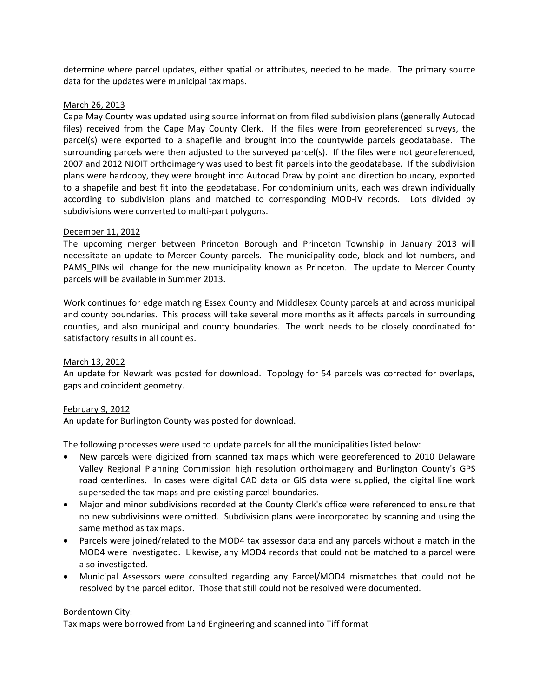determine where parcel updates, either spatial or attributes, needed to be made. The primary source data for the updates were municipal tax maps.

## March 26, 2013

Cape May County was updated using source information from filed subdivision plans (generally Autocad files) received from the Cape May County Clerk. If the files were from georeferenced surveys, the parcel(s) were exported to a shapefile and brought into the countywide parcels geodatabase. The surrounding parcels were then adjusted to the surveyed parcel(s). If the files were not georeferenced, 2007 and 2012 NJOIT orthoimagery was used to best fit parcels into the geodatabase. If the subdivision plans were hardcopy, they were brought into Autocad Draw by point and direction boundary, exported to a shapefile and best fit into the geodatabase. For condominium units, each was drawn individually according to subdivision plans and matched to corresponding MOD-IV records. Lots divided by subdivisions were converted to multi-part polygons.

## December 11, 2012

The upcoming merger between Princeton Borough and Princeton Township in January 2013 will necessitate an update to Mercer County parcels. The municipality code, block and lot numbers, and PAMS\_PINs will change for the new municipality known as Princeton. The update to Mercer County parcels will be available in Summer 2013.

Work continues for edge matching Essex County and Middlesex County parcels at and across municipal and county boundaries. This process will take several more months as it affects parcels in surrounding counties, and also municipal and county boundaries. The work needs to be closely coordinated for satisfactory results in all counties.

## March 13, 2012

An update for Newark was posted for download. Topology for 54 parcels was corrected for overlaps, gaps and coincident geometry.

### February 9, 2012

An update for Burlington County was posted for download.

The following processes were used to update parcels for all the municipalities listed below:

- New parcels were digitized from scanned tax maps which were georeferenced to 2010 Delaware Valley Regional Planning Commission high resolution orthoimagery and Burlington County's GPS road centerlines. In cases were digital CAD data or GIS data were supplied, the digital line work superseded the tax maps and pre-existing parcel boundaries.
- Major and minor subdivisions recorded at the County Clerk's office were referenced to ensure that no new subdivisions were omitted. Subdivision plans were incorporated by scanning and using the same method as tax maps.
- Parcels were joined/related to the MOD4 tax assessor data and any parcels without a match in the MOD4 were investigated. Likewise, any MOD4 records that could not be matched to a parcel were also investigated.
- Municipal Assessors were consulted regarding any Parcel/MOD4 mismatches that could not be resolved by the parcel editor. Those that still could not be resolved were documented.

### Bordentown City:

Tax maps were borrowed from Land Engineering and scanned into Tiff format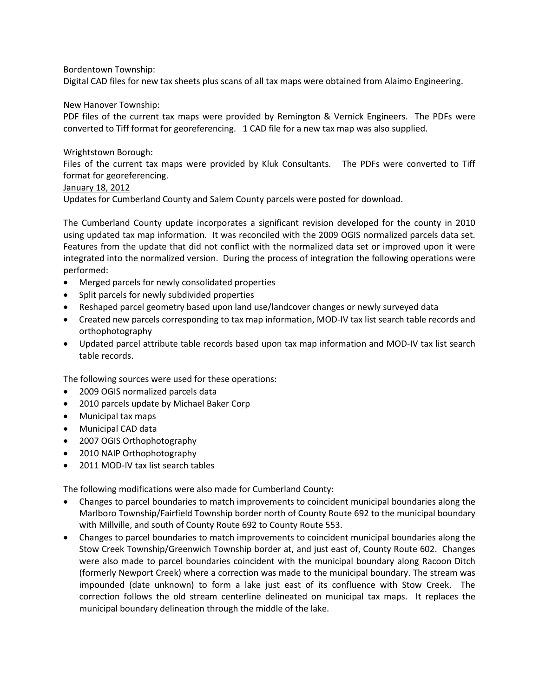## Bordentown Township:

Digital CAD files for new tax sheets plus scans of all tax maps were obtained from Alaimo Engineering.

## New Hanover Township:

PDF files of the current tax maps were provided by Remington & Vernick Engineers. The PDFs were converted to Tiff format for georeferencing. 1 CAD file for a new tax map was also supplied.

## Wrightstown Borough:

Files of the current tax maps were provided by Kluk Consultants. The PDFs were converted to Tiff format for georeferencing.

## January 18, 2012

Updates for Cumberland County and Salem County parcels were posted for download.

The Cumberland County update incorporates a significant revision developed for the county in 2010 using updated tax map information. It was reconciled with the 2009 OGIS normalized parcels data set. Features from the update that did not conflict with the normalized data set or improved upon it were integrated into the normalized version. During the process of integration the following operations were performed:

- Merged parcels for newly consolidated properties
- Split parcels for newly subdivided properties
- Reshaped parcel geometry based upon land use/landcover changes or newly surveyed data
- Created new parcels corresponding to tax map information, MOD-IV tax list search table records and orthophotography
- Updated parcel attribute table records based upon tax map information and MOD-IV tax list search table records.

The following sources were used for these operations:

- 2009 OGIS normalized parcels data
- 2010 parcels update by Michael Baker Corp
- Municipal tax maps
- Municipal CAD data
- 2007 OGIS Orthophotography
- 2010 NAIP Orthophotography
- 2011 MOD-IV tax list search tables

The following modifications were also made for Cumberland County:

- Changes to parcel boundaries to match improvements to coincident municipal boundaries along the Marlboro Township/Fairfield Township border north of County Route 692 to the municipal boundary with Millville, and south of County Route 692 to County Route 553.
- Changes to parcel boundaries to match improvements to coincident municipal boundaries along the Stow Creek Township/Greenwich Township border at, and just east of, County Route 602. Changes were also made to parcel boundaries coincident with the municipal boundary along Racoon Ditch (formerly Newport Creek) where a correction was made to the municipal boundary. The stream was impounded (date unknown) to form a lake just east of its confluence with Stow Creek. The correction follows the old stream centerline delineated on municipal tax maps. It replaces the municipal boundary delineation through the middle of the lake.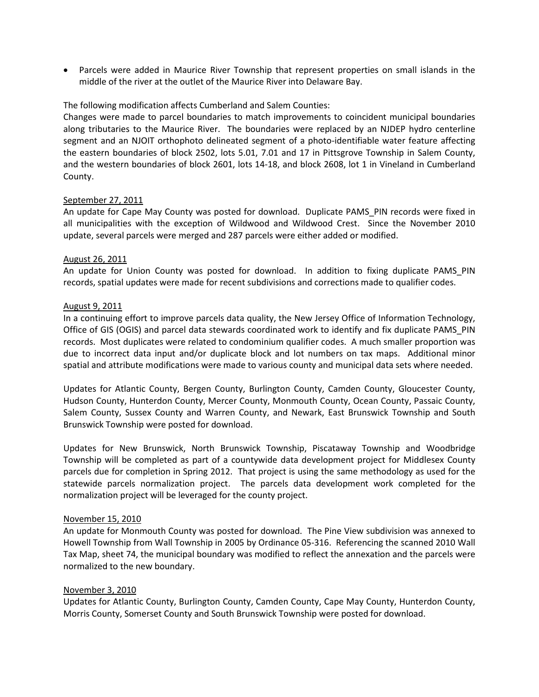• Parcels were added in Maurice River Township that represent properties on small islands in the middle of the river at the outlet of the Maurice River into Delaware Bay.

## The following modification affects Cumberland and Salem Counties:

Changes were made to parcel boundaries to match improvements to coincident municipal boundaries along tributaries to the Maurice River. The boundaries were replaced by an NJDEP hydro centerline segment and an NJOIT orthophoto delineated segment of a photo-identifiable water feature affecting the eastern boundaries of block 2502, lots 5.01, 7.01 and 17 in Pittsgrove Township in Salem County, and the western boundaries of block 2601, lots 14-18, and block 2608, lot 1 in Vineland in Cumberland County.

## September 27, 2011

An update for Cape May County was posted for download. Duplicate PAMS PIN records were fixed in all municipalities with the exception of Wildwood and Wildwood Crest. Since the November 2010 update, several parcels were merged and 287 parcels were either added or modified.

## August 26, 2011

An update for Union County was posted for download. In addition to fixing duplicate PAMS\_PIN records, spatial updates were made for recent subdivisions and corrections made to qualifier codes.

## August 9, 2011

In a continuing effort to improve parcels data quality, the New Jersey Office of Information Technology, Office of GIS (OGIS) and parcel data stewards coordinated work to identify and fix duplicate PAMS\_PIN records. Most duplicates were related to condominium qualifier codes. A much smaller proportion was due to incorrect data input and/or duplicate block and lot numbers on tax maps. Additional minor spatial and attribute modifications were made to various county and municipal data sets where needed.

Updates for Atlantic County, Bergen County, Burlington County, Camden County, Gloucester County, Hudson County, Hunterdon County, Mercer County, Monmouth County, Ocean County, Passaic County, Salem County, Sussex County and Warren County, and Newark, East Brunswick Township and South Brunswick Township were posted for download.

Updates for New Brunswick, North Brunswick Township, Piscataway Township and Woodbridge Township will be completed as part of a countywide data development project for Middlesex County parcels due for completion in Spring 2012. That project is using the same methodology as used for the statewide parcels normalization project. The parcels data development work completed for the normalization project will be leveraged for the county project.

### November 15, 2010

An update for Monmouth County was posted for download. The Pine View subdivision was annexed to Howell Township from Wall Township in 2005 by Ordinance 05-316. Referencing the scanned 2010 Wall Tax Map, sheet 74, the municipal boundary was modified to reflect the annexation and the parcels were normalized to the new boundary.

### November 3, 2010

Updates for Atlantic County, Burlington County, Camden County, Cape May County, Hunterdon County, Morris County, Somerset County and South Brunswick Township were posted for download.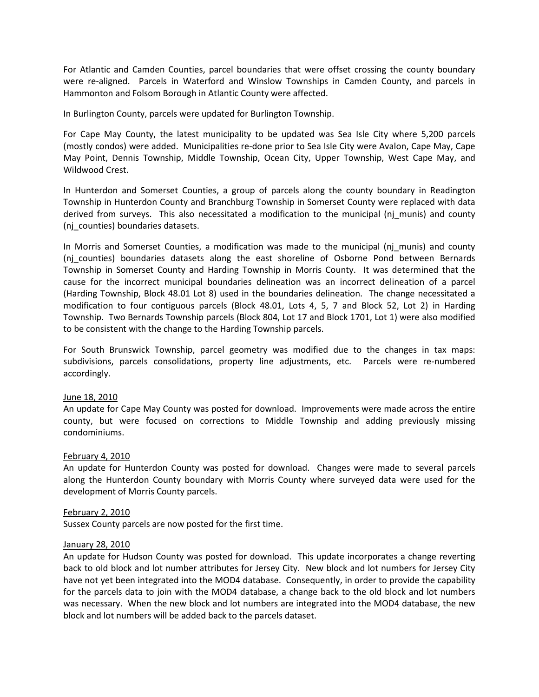For Atlantic and Camden Counties, parcel boundaries that were offset crossing the county boundary were re-aligned. Parcels in Waterford and Winslow Townships in Camden County, and parcels in Hammonton and Folsom Borough in Atlantic County were affected.

In Burlington County, parcels were updated for Burlington Township.

For Cape May County, the latest municipality to be updated was Sea Isle City where 5,200 parcels (mostly condos) were added. Municipalities re-done prior to Sea Isle City were Avalon, Cape May, Cape May Point, Dennis Township, Middle Township, Ocean City, Upper Township, West Cape May, and Wildwood Crest.

In Hunterdon and Somerset Counties, a group of parcels along the county boundary in Readington Township in Hunterdon County and Branchburg Township in Somerset County were replaced with data derived from surveys. This also necessitated a modification to the municipal (nj\_munis) and county (nj\_counties) boundaries datasets.

In Morris and Somerset Counties, a modification was made to the municipal (nj\_munis) and county (nj\_counties) boundaries datasets along the east shoreline of Osborne Pond between Bernards Township in Somerset County and Harding Township in Morris County. It was determined that the cause for the incorrect municipal boundaries delineation was an incorrect delineation of a parcel (Harding Township, Block 48.01 Lot 8) used in the boundaries delineation. The change necessitated a modification to four contiguous parcels (Block 48.01, Lots 4, 5, 7 and Block 52, Lot 2) in Harding Township. Two Bernards Township parcels (Block 804, Lot 17 and Block 1701, Lot 1) were also modified to be consistent with the change to the Harding Township parcels.

For South Brunswick Township, parcel geometry was modified due to the changes in tax maps: subdivisions, parcels consolidations, property line adjustments, etc. Parcels were re-numbered accordingly.

### June 18, 2010

An update for Cape May County was posted for download. Improvements were made across the entire county, but were focused on corrections to Middle Township and adding previously missing condominiums.

### February 4, 2010

An update for Hunterdon County was posted for download. Changes were made to several parcels along the Hunterdon County boundary with Morris County where surveyed data were used for the development of Morris County parcels.

### February 2, 2010

Sussex County parcels are now posted for the first time.

### January 28, 2010

An update for Hudson County was posted for download. This update incorporates a change reverting back to old block and lot number attributes for Jersey City. New block and lot numbers for Jersey City have not yet been integrated into the MOD4 database. Consequently, in order to provide the capability for the parcels data to join with the MOD4 database, a change back to the old block and lot numbers was necessary. When the new block and lot numbers are integrated into the MOD4 database, the new block and lot numbers will be added back to the parcels dataset.